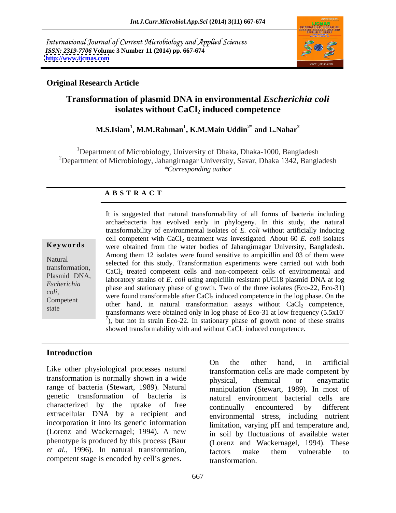International Journal of Current Microbiology and Applied Sciences *ISSN: 2319-7706* **Volume 3 Number 11 (2014) pp. 667-674 <http://www.ijcmas.com>**



### **Original Research Article**

# **Transformation of plasmid DNA in environmental** *Escherichia coli* isolates without CaCl<sub>2</sub> induced competence

### **M.S.Islam1 , M.M.Rahman<sup>1</sup> , K.M.Main Uddin2\* and L.Nahar<sup>2</sup>**

<sup>1</sup>Department of Microbiology, University of Dhaka, Dhaka-1000, Bangladesh <sup>2</sup>Department of Microbiology, Jahangirnagar University, Savar, Dhaka 1342, Bangladesh *\*Corresponding author* 

### **A B S T R A C T**

**Keywords** were obtained from the water bodies of Jahangirnagar University, Bangladesh. Natural selected for this study. Transformation experiments were carried out with both transformation,<br>
CaCl<sub>2</sub> treated competent cells and non-competent cells of environmental and<br>
N<sub>1</sub> Plasmid DNA, laboratory strains of *E. coli* using ampicillin resistant pUC18 plasmid DNA at log *Escherichia*<br>
phase and stationary phase of growth. Two of the three isolates (Eco-22, Eco-31) *coli*,<br>
were found transformable after CaCl<sub>2</sub> induced competence in the log phase. On the<br>
Competent externe hand in natural transformation assays without CaCl<sub>2</sub> competence state<br>
transformants were obtained only in log phase of Eco-31 at low frequency (5.5x10<sup>-7</sup>), but not in strain Eco-22. In stationary phase of growth none of these strains It is suggested that natural transformability of all forms of bacteria including archaebacteria has evolved early in phylogeny. In this study, the natural transformability of environmental isolates of *E. coli* without artificially inducing cell competent with  $CaCl<sub>2</sub>$  treatment was investigated. About 60  $E$ . *coli* isolates Among them 12 isolates were found sensitive to ampicillin and 03 of them were other hand, in natural transformation assays without  $CaCl<sub>2</sub>$  competence,  $\alpha$ ), but not in strain Eco-22. In stationary phase of growth none of these strains showed transformability with and without  $CaCl<sub>2</sub>$  induced competence.

# **Introduction**

Like other physiological processes natural transformation is normally shown in a wide<br>physical, chemical or enzymatic range of bacteria (Stewart, 1989). Natural genetic transformation of bacteria is extracellular DNA by a recipient and incorporation it into its genetic information (Lorenz and Wackernagel; 1994). A new phenotype is produced by this process (Baur *et al.,* 1996). In natural transformation, competent stage is encoded by cell's genes. The transformation.

characterized by the uptake of free continually encountered by different On the other hand, in artificial transformation cells are made competent by physical, chemical or enzymatic manipulation (Stewart, 1989). In most of natural environment bacterial cells are continually encountered by different environmental stress, including nutrient limitation, varying pH and temperature and, in soil by fluctuations of available water (Lorenz and Wackernagel, 1994). These factors make them vulnerable to transformation.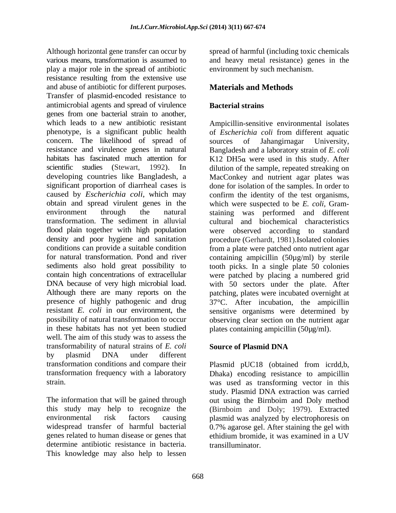Although horizontal gene transfer can occur by spread of harmful (including toxic chemicals various means, transformation is assumed to and heavy metal resistance) genes in the play a major role in the spread of antibiotic resistance resulting from the extensive use and abuse of antibiotic for different purposes. Materials and Methods Transfer of plasmid-encoded resistance to antimicrobial agents and spread of virulence genes from one bacterial strain to another,<br>which leads to a new antibiotic resistant Ampicillin-sensitive environmental isolates phenotype, is a significant public health of *Escherichia coli* from different aquatic concern. The likelihood of spread of sources of Jahangirnagar University, resistance and virulence genes in natural habitats has fascinated much attention for  $K12$  DH5 $\alpha$  were used in this study. After scientific studies (Stewart, 1992). In dilution of the sample, repeated streaking on developing countries like Bangladesh, a MacConkey and nutrient agar plates was significant proportion of diarrheal cases is done for isolation of the samples. In order to caused by *Escherichia coli*, which may confirm the identity of the test organisms, obtain and spread virulent genes in the which were suspected to be *E. coli,* Gram environment through the natural staining was performed and different transformation. The sediment in alluvial cultural and biochemical characteristics flood plain together with high population were observed according to standard density and poor hygiene and sanitation procedure (Gerhardt, 1981).Isolated colonies conditions can provide a suitable condition from a plate were patched onto nutrient agar for natural transformation. Pond and river containing ampicillin (50µg/ml) by sterile sediments also hold great possibility to tooth picks. In a single plate 50 colonies contain high concentrations of extracellular were patched by placing a numbered grid DNA because of very high microbial load. with 50 sectors under the plate. After Although there are many reports on the patching, plates were incubated overnight at presence of highly pathogenic and drug resistant *E. coli* in our environment, the sensitive organisms were determined by possibility of natural transformation to occur observing clear section on the nutrient agar in these habitats has not yet been studied well. The aim of this study was to assess the transformability of natural strains of *E. coli* by plasmid DNA under different transformation conditions and compare their Plasmid pUC18 (obtained from icrdd,b, transformation frequency with a laboratory Dhaka) encoding resistance to ampicillin

genes related to human disease or genes that ethidium bromide, it was examined in a UV determine antibiotic resistance in bacteria. This knowledge may also help to lessen

environment by such mechanism.

# **Materials and Methods**

## **Bacterial strains**

Ampicillin-sensitive environmental isolates sources of Jahangirnagar University, Bangladesh and a laboratory strain of *E. coli* 37°C. After incubation, the ampicillin plates containing ampicillin (50µg/ml).

## **Source of Plasmid DNA**

strain. was used as transforming vector in this The information that will be gained through out using the Birnboim and Doly method this study may help to recognize the (Birnboim and Doly; 1979). Extracted environmental risk factors causing plasmid was analyzed by electrophoresis on widespread transfer of harmful bacterial 0.7% agarose gel. After staining the gel with study. Plasmid DNA extraction was carried ethidium bromide, it was examined in a UV transilluminator.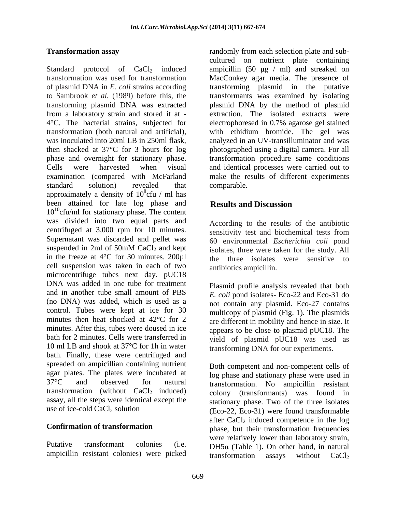Standard protocol of  $CaCl<sub>2</sub>$  induced ampicillin (50  $\mu$ g / ml) and streaked on transformation was used for transformation MacConkey agar media.The presence of of plasmid DNA in *E. coli* strains according transforming plasmid in the putative to Sambrook *et al.* (1989) before this, the transformants was examined by isolating transforming plasmid DNA was extracted plasmid DNA by the method of plasmid from a laboratory strain and stored it at - 4°C. The bacterial strains, subjected for electrophoresed in 0.7% agarose gel stained transformation (both natural and artificial), with ethidium bromide. The gel was was inoculated into 20ml LB in 250ml flask, analyzed in an UV-transilluminator and was then shacked at 37°C for 3 hours for log photographed using a digital camera. For all phase and overnight for stationary phase. transformation procedure same conditions Cells were harvested when visual and identical processes were carried out to examination (compared with McFarland make the results of different experiments standard solution) revealed that comparable. approximately a density of  $10^8$ cfu / ml has  $\frac{8}{2}$ cfu / ml has been attained for late log phase and **Results and Discussion**  $10^{10}$ cfu/ml for stationary phase. The content was divided into two equal parts and centrifuged at 3,000 rpm for 10 minutes.<br>Supernatant was discarded and pellet was  $\begin{array}{ccc} 60 & \text{environmental} & \text{Escherichia} & \text{coll} & \text{mond} \end{array}$ suspended in 2ml of 50mM CaCl<sub>2</sub> and kept isolates, three were taken for the study. All in the freeze at  $4^{\circ}$ C for 30 minutes. 200 $\mu$ 1 cell suspension was taken in each of two microcentrifuge tubes next day. pUC18 DNA was added in one tube for treatment and in another tube small amount of PBS *E. coli* pond isolates- Eco-22 and Eco-31 do (no DNA) was added, which is used as a control. Tubes were kept at ice for 30 minutes then heat shocked at 42°C for 2 are different in mobility and hence in size. It minutes. After this, tubes were doused in ice bath for 2 minutes. Cells were transferred in yield of plasmid pUC18 was used as 10 ml LB and shook at 37°C for 1h in water bath. Finally, these were centrifuged and spreaded on ampicillian containing nutrient agar plates. The plates were incubated at  $37^{\circ}$ C and observed for natural 37°C and observed for natural transformation. No ampicillin resistant transformation (without  $CaCl<sub>2</sub>$  induced) colony (transformants) was found in assay, all the steps were identical except the

**Transformation assay** randomly from each selection plate and subcultured on nutrient plate containing extraction. The isolated extracts were comparable.

# **Results and Discussion**

According to the results of the antibiotic sensitivity test and biochemical tests from 60 environmental *Escherichia coli* pond isolates, three were taken for the study. All the three isolates were sensitive to antibiotics ampicillin.

Plasmid profile analysis revealed that both not contain any plasmid. Eco-27 contains multicopy of plasmid (Fig. 1). The plasmids appears to be close to plasmid pUC18. The transforming DNA for our experiments.

use of ice-cold  $CaCl<sub>2</sub>$  solution (Eco-22, Eco-31) were found transformable **Confirmation of transformation** phase, but their transformation frequencies Putative transformant colonies (i.e.  $DH5\alpha$  (Table 1). On other hand, in natural ampicillin resistant colonies) were picked<br>transformation assays without CaCl<sub>2</sub> Both competent and non-competent cells of log phase and stationary phase were used in stationary phase. Two of the three isolates after  $CaCl<sub>2</sub>$  induced competence in the log were relatively lower than laboratory strain, transformation assays without  $CaCl<sub>2</sub>$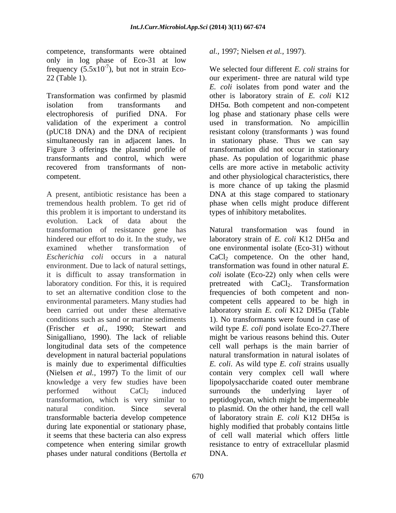competence, transformants were obtained al., 1997; Nielsen et al., 1997). only in log phase of Eco-31 at low frequency  $(5.5x10^{-7})$ , but not in strain Eco-

Transformation was confirmed by plasmid isolation from transformants and  $DH5\alpha$ . Both competent and non-competent electrophoresis of purified DNA. For log phase and stationary phase cells were validation of the experiment a control used in transformation. No ampicillin (pUC18 DNA) and the DNA of recipient resistant colony (transformants ) was found simultaneously ran in adjacent lanes. In in stationary phase. Thus we can say Figure 3 offerings the plasmid profile of transformants and control, which were phase. As population of logarithmic phase recovered from transformants of non- cells are more active in metabolic activity competent. and other physiological characteristics, there

A present, antibiotic resistance has been a DNA at this stage compared to stationary tremendous health problem. To get rid of phase when cells might produce different this problem it is important to understand its evolution. Lack of data about the transformation of resistance gene has longitudinal data sets of the competence development in natural bacterial populations during late exponential or stationary phase, phases under natural conditions (Bertolla *et* 

We selected four different  $E$ , coli strains for 22 (Table 1). our experiment- three are natural wild type *al.,* 1997; Nielsen *et al.,* 1997). We selected four different *E. coli* strains for *E. coli* isolates from pond water and the other is laboratory strain of *E. coli* K12 transformation did not occur in stationary is more chance of up taking the plasmid types of inhibitory metabolites.

hindered our effort to do it. In the study, we laboratory strain of *E. coli* K12 DH5a and examined whether transformation of one environmental isolate (Eco-31) without *Escherichia coli* occurs in a natural CaCl<sub>2</sub> competence. On the other hand, environment. Due to lack of natural settings, transformation was found in other natural *E.*  it is difficult to assay transformation in *coli* isolate (Eco-22) only when cells were laboratory condition. For this, it is required pretreated with CaCl<sub>2</sub>. Transformation to set an alternative condition close to the frequencies of both competent and non environmental parameters. Many studies had competent cells appeared to be high in been carried out under these alternative laboratory strain *E. coli* K12 DH5α (Table conditions such as sand or marine sediments 1). No transformants were found in case of (Frischer *et al.,* 1990; Stewart and wild type *E. coli* pond isolate Eco-27.There Sinigalliano, 1990). The lack of reliable might be various reasons behind this. Outer is mainly due to experimental difficulties *E. coli*. As wild type *E. coli* strains usually (Nielsen *et al.*, 1997) To the limit of our contain very complex cell wall where knowledge a very few studies have been lipopolysaccharide coated outer membrane performed without CaCl<sub>2</sub> induced surrounds the underlying layer of transformation, which is very similar to peptidoglycan, which might be impermeable natural condition. Since several to plasmid. On the other hand, the cell wall transformable bacteria develop competence of laboratory strain *E. coli* K12 DH5α is it seems that these bacteria can also express of cell wall material which offers little competence when entering similar growth resistance to entry of extracellular plasmid Natural transformation was found in cell wall perhaps is the main barrier of natural transformation in natural isolates of surrounds the underlying layer of highly modified that probably contains little DNA.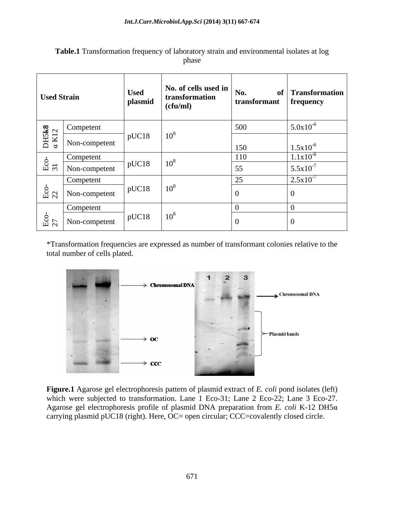| <b>Used Strain</b>                                                               |               | <b>Used</b><br>plasmid | No. of cells used in<br>transformation<br>(cfu/ml) | No.<br>transformant | of Transformation<br>frequency |
|----------------------------------------------------------------------------------|---------------|------------------------|----------------------------------------------------|---------------------|--------------------------------|
| $\begin{array}{c}\n\text{DHS} \mathbf{k8} \\ \alpha \, \text{K} 12\n\end{array}$ | Competent     | $10^8$<br>pUC18        |                                                    | 500                 | $1.5.0x10^{-6}$                |
|                                                                                  | Non-competent |                        |                                                    | 150                 | $1.5x10^{-6}$                  |
| $\circ$                                                                          | Competent     | $10^8$<br>pUC18        |                                                    | 110                 | $1.1x10^{-6}$                  |
| $\mathbb{E}$ 31                                                                  | Non-competent |                        |                                                    | 55<br>ັບ            | $5.5x10^{-7}$                  |
| $E_{\rm CO}$                                                                     | Competent     | $10^8$<br>pUC18        |                                                    | $\sim$ $\sim$       | $2.5x10^{-7}$                  |
|                                                                                  | Non-competent |                        |                                                    |                     |                                |
|                                                                                  | Competent     | pUC18                  |                                                    |                     |                                |
| $\frac{E}{27}$                                                                   | Non-competent |                        | $10^8$                                             |                     |                                |

**Table.1** Transformation frequency of laboratory strain and environmental isolates at log phase **provide** the contract of the contract of the contract of the contract of the contract of the contract of the contract of the contract of the contract of the contract of the contract of the contract of the contract o

\*Transformation frequencies are expressed as number of transformant colonies relative to the total number of cells plated.



**Figure.1** Agarose gel electrophoresis pattern of plasmid extract of *E. coli* pond isolates (left) which were subjected to transformation. Lane 1 Eco-31; Lane 2 Eco-22; Lane 3 Eco-27. Agarose gel electrophoresis profile of plasmid DNA preparation from *E. coli* K-12 DH5 carrying plasmid pUC18 (right). Here, OC= open circular; CCC=covalently closed circle.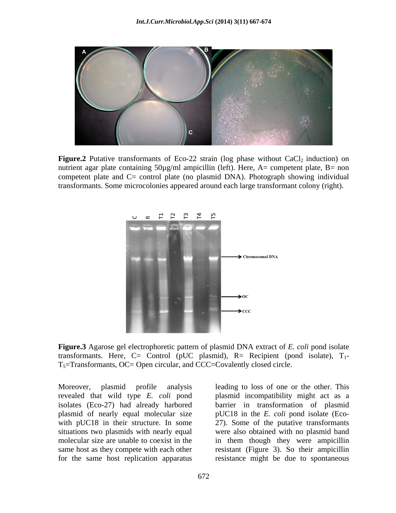

**Figure.2** Putative transformants of Eco-22 strain (log phase without  $CaCl<sub>2</sub>$  induction) on nutrient agar plate containing  $50\mu g/ml$  ampicillin (left). Here, A= competent plate, B= non competent plate and C= control plate (no plasmid DNA). Photograph showing individual transformants. Some microcolonies appeared around each large transformant colony (right).



**Figure.3** Agarose gel electrophoretic pattern of plasmid DNA extract of *E. coli* pond isolate transformants. Here, C= Control (pUC plasmid), R= Recipient (pond isolate),  $T_1$ - $T<sub>5</sub>=$ Transformants, OC= Open circular, and CCC=Covalently closed circle.

Moreover, plasmid profile analysis leading to loss of one or the other. This revealed that wild type *E. coli* pond plasmid incompatibility might act as a isolates (Eco-27) had already harbored barrier in transformation of plasmid plasmid of nearly equal molecular size pUC18 in the *E. coli* pond isolate (Eco with pUC18 in their structure. In some 27). Some of the putative transformants situations two plasmids with nearly equal were also obtained with no plasmid band molecular size are unable to coexist in the in them though they were ampicillin same host as they compete with each other resistant (Figure 3). So their ampicillin

for the same host replication apparatus resistance might be due to spontaneous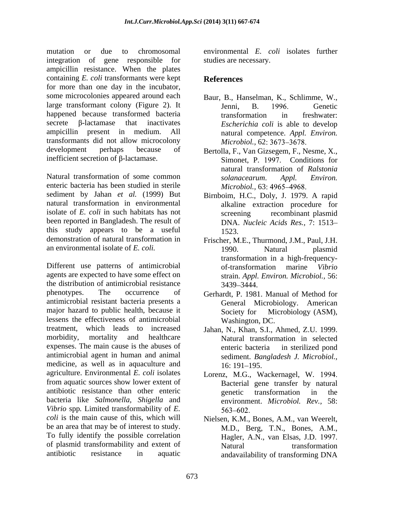mutation or due to chromosomal environmental *E. coli* isolates further integration of gene responsible for studies are necessary. ampicillin resistance. When the plates containing *E. coli* transformants were kept for more than one day in the incubator, some microcolonies appeared around each large transformant colony (Figure 2). It happened because transformed bacteria transformation in freshwater: secrete  $\beta$ -lactamase that inactivates *Escherichia coli* is able to develop ampicillin present in medium. All natural competence. *Appl. Environ.* transformants did not allow microcolony development perhaps because of Bertolla, F., Van Gizsegem, F., Nesme, X., inefficient secretion of  $\beta$ -lactamase.

Natural transformation of some common solanacearum. Appl. Environ. enteric bacteria has been studied in sterile sediment by Jahan *et al.* (1999) But Birnboim, H.C., Doly, J. 1979. A rapid natural transformation in environmental alkaline extraction procedure for isolate of *E. coli* in such habitats has not been reported in Bangladesh. The result of this study appears to be a useful demonstration of natural transformation in an environmental isolate of *E. coli.* 1990. Natural plasmid

Different use patterns of antimicrobial of-transformation marine Vibrio agents are expected to have some effect on the distribution of antimicrobial resistance 3439–3444. phenotypes. The occurrence of Gerhardt, P. 1981. Manual of Method for antimicrobial resistant bacteria presents a major hazard to public health, because it Society for Microbiology (ASM), lessens the effectiveness of antimicrobial treatment, which leads to increased Jahan, N., Khan, S.I., Ahmed, Z.U. 1999. morbidity, mortality and healthcare Natural transformation in selected expenses. The main cause is the abuses of antimicrobial agent in human and animal medicine, as well as in aquaculture and  $16: 191-195$ . agriculture. Environmental *E. coli* isolates Lorenz, M.G., Wackernagel, W. from aquatic sources show lower extent of antibiotic resistance than other enteric bacteria like *Salmonella, Shigella* and *Vibrio* spp*.* Limited transformability of *E. coli* is the main cause of this, which will be an area that may be of interest to study. To fully identify the possible correlation of plasmid transformability and extent of

studies are necessary.

# **References**

- Baur, B., Hanselman, K., Schlimme, W., Jenni, B. 1996. Genetic transformation in freshwater: *Microbiol.,* 62
- Simonet, P. 1997. Conditions for natural transformation of *Ralstonia solanacearum*. *Appl. Environ. Microbiol.,* 63
- screening recombinant plasmid DNA. *Nucleic Acids Res.,* 7: 1513 1523.
- Frischer, M.E., Thurmond, J.M., Paul, J.H. 1990. Natural plasmid transformation in a high-frequency of-transformation marine *Vibrio*  strain. *Appl. Environ. Microbiol.,* 56: 3439 3444.
- General Microbiology. American Society for Microbiology (ASM), Washington, DC.
- enteric bacteria in sterilized pond sediment. *Bangladesh J. Microbiol.,* 16: 191–195.
- Bacterial gene transfer by natural genetic transformation in the environment. *Microbiol. Rev.,* 58:
- antibiotic resistance in aquatic andavailability of transforming DNANielsen, K.M., Bones, A.M., van Weerelt, M.D., Berg, T.N., Bones, A.M., Hagler, A.N., van Elsas, J.D. Natural transformation